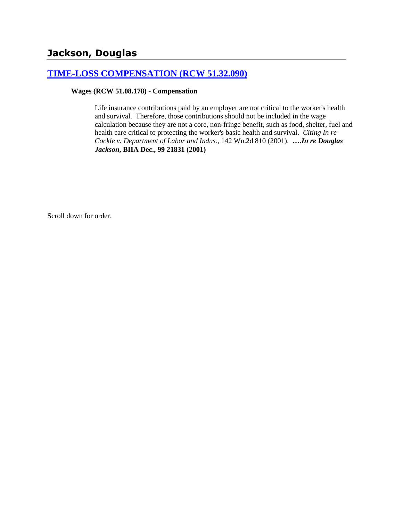## **[TIME-LOSS COMPENSATION \(RCW 51.32.090\)](http://www.biia.wa.gov/SDSubjectIndex.html#TIME_LOSS_COMPENSATION)**

#### **Wages (RCW 51.08.178) - Compensation**

Life insurance contributions paid by an employer are not critical to the worker's health and survival. Therefore, those contributions should not be included in the wage calculation because they are not a core, non-fringe benefit, such as food, shelter, fuel and health care critical to protecting the worker's basic health and survival. *Citing In re Cockle v. Department of Labor and Indus.*, 142 Wn.2d 810 (2001). **….***In re Douglas Jackson***, BIIA Dec., 99 21831 (2001)**

Scroll down for order.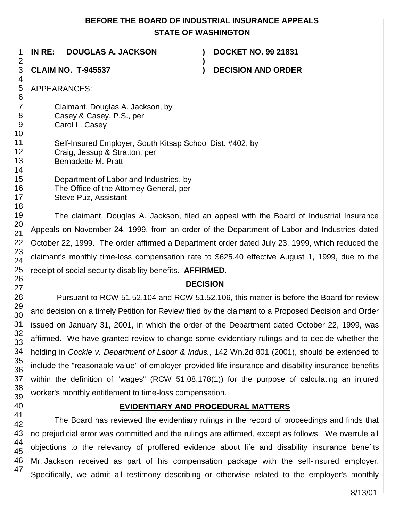## **BEFORE THE BOARD OF INDUSTRIAL INSURANCE APPEALS STATE OF WASHINGTON**

**)**

1 **IN RE: DOUGLAS A. JACKSON ) DOCKET NO. 99 21831**

**CLAIM NO. T-945537 ) DECISION AND ORDER** 

APPEARANCES:

Claimant, Douglas A. Jackson, by Casey & Casey, P.S., per Carol L. Casey

Self-Insured Employer, South Kitsap School Dist. #402, by Craig, Jessup & Stratton, per Bernadette M. Pratt

Department of Labor and Industries, by The Office of the Attorney General, per Steve Puz, Assistant

The claimant, Douglas A. Jackson, filed an appeal with the Board of Industrial Insurance Appeals on November 24, 1999, from an order of the Department of Labor and Industries dated October 22, 1999. The order affirmed a Department order dated July 23, 1999, which reduced the claimant's monthly time-loss compensation rate to \$625.40 effective August 1, 1999, due to the receipt of social security disability benefits. **AFFIRMED.**

# **DECISION**

Pursuant to RCW 51.52.104 and RCW 51.52.106, this matter is before the Board for review and decision on a timely Petition for Review filed by the claimant to a Proposed Decision and Order issued on January 31, 2001, in which the order of the Department dated October 22, 1999, was affirmed. We have granted review to change some evidentiary rulings and to decide whether the holding in *Cockle v. Department of Labor & Indus.*, 142 Wn.2d 801 (2001), should be extended to include the "reasonable value" of employer-provided life insurance and disability insurance benefits within the definition of "wages" (RCW 51.08.178(1)) for the purpose of calculating an injured worker's monthly entitlement to time-loss compensation.

## **EVIDENTIARY AND PROCEDURAL MATTERS**

The Board has reviewed the evidentiary rulings in the record of proceedings and finds that no prejudicial error was committed and the rulings are affirmed, except as follows. We overrule all objections to the relevancy of proffered evidence about life and disability insurance benefits Mr. Jackson received as part of his compensation package with the self-insured employer. Specifically, we admit all testimony describing or otherwise related to the employer's monthly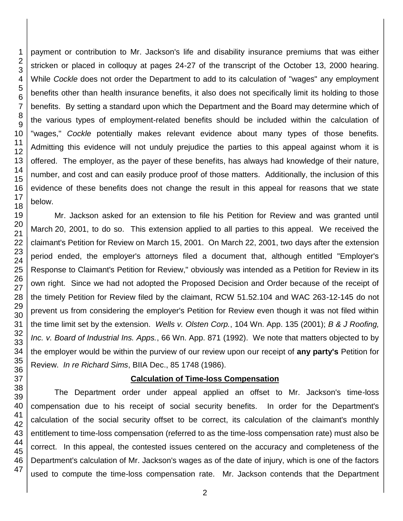1

payment or contribution to Mr. Jackson's life and disability insurance premiums that was either stricken or placed in colloquy at pages 24-27 of the transcript of the October 13, 2000 hearing. While *Cockle* does not order the Department to add to its calculation of "wages" any employment benefits other than health insurance benefits, it also does not specifically limit its holding to those benefits. By setting a standard upon which the Department and the Board may determine which of the various types of employment-related benefits should be included within the calculation of "wages," *Cockle* potentially makes relevant evidence about many types of those benefits. Admitting this evidence will not unduly prejudice the parties to this appeal against whom it is offered. The employer, as the payer of these benefits, has always had knowledge of their nature, number, and cost and can easily produce proof of those matters. Additionally, the inclusion of this evidence of these benefits does not change the result in this appeal for reasons that we state

Mr. Jackson asked for an extension to file his Petition for Review and was granted until March 20, 2001, to do so. This extension applied to all parties to this appeal. We received the claimant's Petition for Review on March 15, 2001. On March 22, 2001, two days after the extension period ended, the employer's attorneys filed a document that, although entitled "Employer's Response to Claimant's Petition for Review," obviously was intended as a Petition for Review in its own right. Since we had not adopted the Proposed Decision and Order because of the receipt of the timely Petition for Review filed by the claimant, RCW 51.52.104 and WAC 263-12-145 do not prevent us from considering the employer's Petition for Review even though it was not filed within the time limit set by the extension. *Wells v. Olsten Corp.*, 104 Wn. App. 135 (2001); *B & J Roofing, Inc. v. Board of Industrial Ins. Apps.*, 66 Wn. App. 871 (1992). We note that matters objected to by the employer would be within the purview of our review upon our receipt of **any party's** Petition for Review. *In re Richard Sims*, BIIA Dec., 85 1748 (1986).

## **Calculation of Time-loss Compensation**

The Department order under appeal applied an offset to Mr. Jackson's time-loss compensation due to his receipt of social security benefits. In order for the Department's calculation of the social security offset to be correct, its calculation of the claimant's monthly entitlement to time-loss compensation (referred to as the time-loss compensation rate) must also be correct. In this appeal, the contested issues centered on the accuracy and completeness of the Department's calculation of Mr. Jackson's wages as of the date of injury, which is one of the factors used to compute the time-loss compensation rate. Mr. Jackson contends that the Department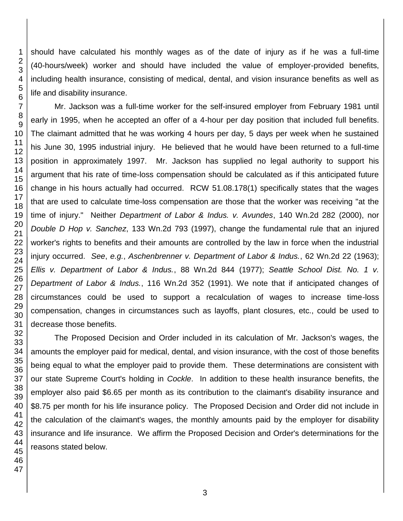should have calculated his monthly wages as of the date of injury as if he was a full-time (40-hours/week) worker and should have included the value of employer-provided benefits, including health insurance, consisting of medical, dental, and vision insurance benefits as well as life and disability insurance.

Mr. Jackson was a full-time worker for the self-insured employer from February 1981 until early in 1995, when he accepted an offer of a 4-hour per day position that included full benefits. The claimant admitted that he was working 4 hours per day, 5 days per week when he sustained his June 30, 1995 industrial injury. He believed that he would have been returned to a full-time position in approximately 1997. Mr. Jackson has supplied no legal authority to support his argument that his rate of time-loss compensation should be calculated as if this anticipated future change in his hours actually had occurred. RCW 51.08.178(1) specifically states that the wages that are used to calculate time-loss compensation are those that the worker was receiving "at the time of injury." Neither *Department of Labor & Indus. v. Avundes*, 140 Wn.2d 282 (2000), nor *Double D Hop v. Sanchez*, 133 Wn.2d 793 (1997), change the fundamental rule that an injured worker's rights to benefits and their amounts are controlled by the law in force when the industrial injury occurred. *See*, *e.g.*, *Aschenbrenner v. Department of Labor & Indus.*, 62 Wn.2d 22 (1963); *Ellis v. Department of Labor & Indus.*, 88 Wn.2d 844 (1977); *Seattle School Dist. No. 1 v. Department of Labor & Indus.*, 116 Wn.2d 352 (1991). We note that if anticipated changes of circumstances could be used to support a recalculation of wages to increase time-loss compensation, changes in circumstances such as layoffs, plant closures, etc., could be used to decrease those benefits.

The Proposed Decision and Order included in its calculation of Mr. Jackson's wages, the amounts the employer paid for medical, dental, and vision insurance, with the cost of those benefits being equal to what the employer paid to provide them. These determinations are consistent with our state Supreme Court's holding in *Cockle*. In addition to these health insurance benefits, the employer also paid \$6.65 per month as its contribution to the claimant's disability insurance and \$8.75 per month for his life insurance policy. The Proposed Decision and Order did not include in the calculation of the claimant's wages, the monthly amounts paid by the employer for disability insurance and life insurance. We affirm the Proposed Decision and Order's determinations for the reasons stated below.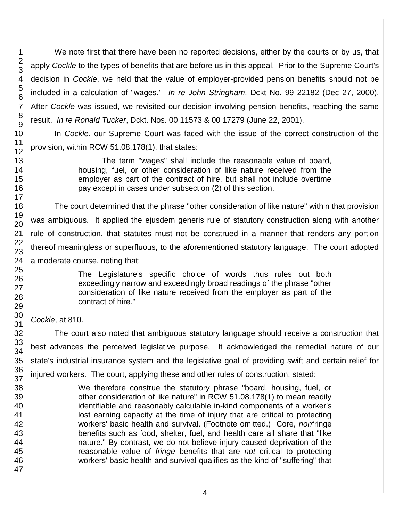We note first that there have been no reported decisions, either by the courts or by us, that apply *Cockle* to the types of benefits that are before us in this appeal. Prior to the Supreme Court's decision in *Cockle*, we held that the value of employer-provided pension benefits should not be included in a calculation of "wages." *In re John Stringham*, Dckt No. 99 22182 (Dec 27, 2000). After *Cockle* was issued, we revisited our decision involving pension benefits, reaching the same result. *In re Ronald Tucker*, Dckt. Nos. 00 11573 & 00 17279 (June 22, 2001).

In *Cockle*, our Supreme Court was faced with the issue of the correct construction of the provision, within RCW 51.08.178(1), that states:

> The term "wages" shall include the reasonable value of board, housing, fuel, or other consideration of like nature received from the employer as part of the contract of hire, but shall not include overtime pay except in cases under subsection (2) of this section.

The court determined that the phrase "other consideration of like nature" within that provision was ambiguous. It applied the ejusdem generis rule of statutory construction along with another rule of construction, that statutes must not be construed in a manner that renders any portion thereof meaningless or superfluous, to the aforementioned statutory language. The court adopted a moderate course, noting that:

> The Legislature's specific choice of words thus rules out both exceedingly narrow and exceedingly broad readings of the phrase "other consideration of like nature received from the employer as part of the contract of hire."

*Cockle*, at 810.

The court also noted that ambiguous statutory language should receive a construction that best advances the perceived legislative purpose. It acknowledged the remedial nature of our state's industrial insurance system and the legislative goal of providing swift and certain relief for injured workers. The court, applying these and other rules of construction, stated:

> We therefore construe the statutory phrase "board, housing, fuel, or other consideration of like nature" in RCW 51.08.178(1) to mean readily identifiable and reasonably calculable in-kind components of a worker's lost earning capacity at the time of injury that are critical to protecting workers' basic health and survival. (Footnote omitted.) Core, *non*fringe benefits such as food, shelter, fuel, and health care all share that "like nature." By contrast, we do not believe injury-caused deprivation of the reasonable value of *fringe* benefits that are *not* critical to protecting workers' basic health and survival qualifies as the kind of "suffering" that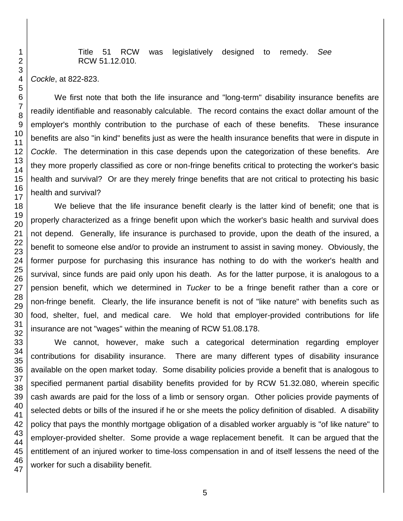Title 51 RCW was legislatively designed to remedy. *See* RCW 51.12.010.

*Cockle*, at 822-823.

We first note that both the life insurance and "long-term" disability insurance benefits are readily identifiable and reasonably calculable. The record contains the exact dollar amount of the employer's monthly contribution to the purchase of each of these benefits. These insurance benefits are also "in kind" benefits just as were the health insurance benefits that were in dispute in *Cockle*. The determination in this case depends upon the categorization of these benefits. Are they more properly classified as core or non-fringe benefits critical to protecting the worker's basic health and survival? Or are they merely fringe benefits that are not critical to protecting his basic health and survival?

We believe that the life insurance benefit clearly is the latter kind of benefit; one that is properly characterized as a fringe benefit upon which the worker's basic health and survival does not depend. Generally, life insurance is purchased to provide, upon the death of the insured, a benefit to someone else and/or to provide an instrument to assist in saving money. Obviously, the former purpose for purchasing this insurance has nothing to do with the worker's health and survival, since funds are paid only upon his death. As for the latter purpose, it is analogous to a pension benefit, which we determined in *Tucker* to be a fringe benefit rather than a core or non-fringe benefit. Clearly, the life insurance benefit is not of "like nature" with benefits such as food, shelter, fuel, and medical care. We hold that employer-provided contributions for life insurance are not "wages" within the meaning of RCW 51.08.178.

We cannot, however, make such a categorical determination regarding employer contributions for disability insurance. There are many different types of disability insurance available on the open market today. Some disability policies provide a benefit that is analogous to specified permanent partial disability benefits provided for by RCW 51.32.080, wherein specific cash awards are paid for the loss of a limb or sensory organ. Other policies provide payments of selected debts or bills of the insured if he or she meets the policy definition of disabled. A disability policy that pays the monthly mortgage obligation of a disabled worker arguably is "of like nature" to employer-provided shelter. Some provide a wage replacement benefit. It can be argued that the entitlement of an injured worker to time-loss compensation in and of itself lessens the need of the worker for such a disability benefit.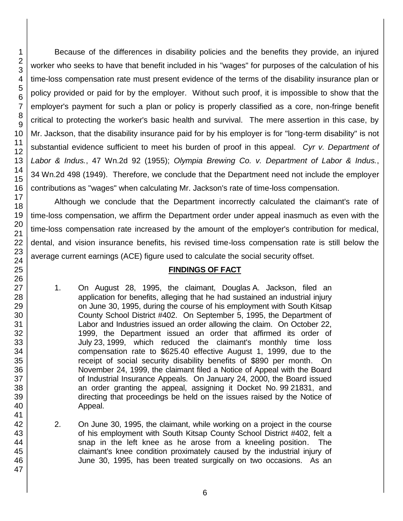Because of the differences in disability policies and the benefits they provide, an injured worker who seeks to have that benefit included in his "wages" for purposes of the calculation of his time-loss compensation rate must present evidence of the terms of the disability insurance plan or policy provided or paid for by the employer. Without such proof, it is impossible to show that the employer's payment for such a plan or policy is properly classified as a core, non-fringe benefit critical to protecting the worker's basic health and survival. The mere assertion in this case, by Mr. Jackson, that the disability insurance paid for by his employer is for "long-term disability" is not substantial evidence sufficient to meet his burden of proof in this appeal. *Cyr v. Department of Labor & Indus.*, 47 Wn.2d 92 (1955); *Olympia Brewing Co. v. Department of Labor & Indus.*, 34 Wn.2d 498 (1949). Therefore, we conclude that the Department need not include the employer contributions as "wages" when calculating Mr. Jackson's rate of time-loss compensation.

Although we conclude that the Department incorrectly calculated the claimant's rate of time-loss compensation, we affirm the Department order under appeal inasmuch as even with the time-loss compensation rate increased by the amount of the employer's contribution for medical, dental, and vision insurance benefits, his revised time-loss compensation rate is still below the average current earnings (ACE) figure used to calculate the social security offset.

#### **FINDINGS OF FACT**

- 1. On August 28, 1995, the claimant, Douglas A. Jackson, filed an application for benefits, alleging that he had sustained an industrial injury on June 30, 1995, during the course of his employment with South Kitsap County School District #402. On September 5, 1995, the Department of Labor and Industries issued an order allowing the claim. On October 22, 1999, the Department issued an order that affirmed its order of July 23, 1999, which reduced the claimant's monthly time loss compensation rate to \$625.40 effective August 1, 1999, due to the receipt of social security disability benefits of \$890 per month. On November 24, 1999, the claimant filed a Notice of Appeal with the Board of Industrial Insurance Appeals. On January 24, 2000, the Board issued an order granting the appeal, assigning it Docket No. 99 21831, and directing that proceedings be held on the issues raised by the Notice of Appeal.
- 2. On June 30, 1995, the claimant, while working on a project in the course of his employment with South Kitsap County School District #402, felt a snap in the left knee as he arose from a kneeling position. The claimant's knee condition proximately caused by the industrial injury of June 30, 1995, has been treated surgically on two occasions. As an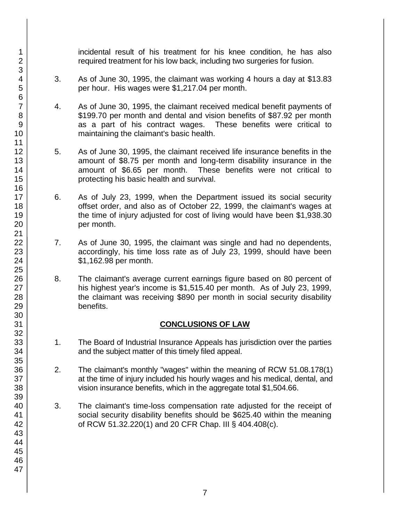incidental result of his treatment for his knee condition, he has also required treatment for his low back, including two surgeries for fusion.

- 3. As of June 30, 1995, the claimant was working 4 hours a day at \$13.83 per hour. His wages were \$1,217.04 per month.
- 4. As of June 30, 1995, the claimant received medical benefit payments of \$199.70 per month and dental and vision benefits of \$87.92 per month as a part of his contract wages. These benefits were critical to maintaining the claimant's basic health.
- 5. As of June 30, 1995, the claimant received life insurance benefits in the amount of \$8.75 per month and long-term disability insurance in the amount of \$6.65 per month. These benefits were not critical to protecting his basic health and survival.
- 6. As of July 23, 1999, when the Department issued its social security offset order, and also as of October 22, 1999, the claimant's wages at the time of injury adjusted for cost of living would have been \$1,938.30 per month.
- 7. As of June 30, 1995, the claimant was single and had no dependents, accordingly, his time loss rate as of July 23, 1999, should have been \$1,162.98 per month.
- 8. The claimant's average current earnings figure based on 80 percent of his highest year's income is \$1,515.40 per month. As of July 23, 1999, the claimant was receiving \$890 per month in social security disability benefits.

#### **CONCLUSIONS OF LAW**

- 1. The Board of Industrial Insurance Appeals has jurisdiction over the parties and the subject matter of this timely filed appeal.
- 2. The claimant's monthly "wages" within the meaning of RCW 51.08.178(1) at the time of injury included his hourly wages and his medical, dental, and vision insurance benefits, which in the aggregate total \$1,504.66.
- 3. The claimant's time-loss compensation rate adjusted for the receipt of social security disability benefits should be \$625.40 within the meaning of RCW 51.32.220(1) and 20 CFR Chap. III § 404.408(c).

1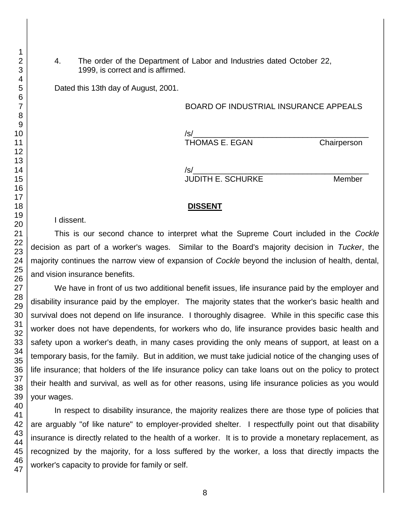4. The order of the Department of Labor and Industries dated October 22, 1999, is correct and is affirmed.

Dated this 13th day of August, 2001.

#### BOARD OF INDUSTRIAL INSURANCE APPEALS

/s/\_\_\_\_\_\_\_\_\_\_\_\_\_\_\_\_\_\_\_\_\_\_\_\_\_\_\_\_\_\_\_\_\_\_\_\_\_\_\_\_

THOMAS E. EGAN Chairperson

/s/\_\_\_\_\_\_\_\_\_\_\_\_\_\_\_\_\_\_\_\_\_\_\_\_\_\_\_\_\_\_\_\_\_\_\_\_\_\_\_\_ JUDITH E. SCHURKE Member

#### **DISSENT**

I dissent.

This is our second chance to interpret what the Supreme Court included in the *Cockle* decision as part of a worker's wages. Similar to the Board's majority decision in *Tucker*, the majority continues the narrow view of expansion of *Cockle* beyond the inclusion of health, dental, and vision insurance benefits.

We have in front of us two additional benefit issues, life insurance paid by the employer and disability insurance paid by the employer. The majority states that the worker's basic health and survival does not depend on life insurance. I thoroughly disagree. While in this specific case this worker does not have dependents, for workers who do, life insurance provides basic health and safety upon a worker's death, in many cases providing the only means of support, at least on a temporary basis, for the family. But in addition, we must take judicial notice of the changing uses of life insurance; that holders of the life insurance policy can take loans out on the policy to protect their health and survival, as well as for other reasons, using life insurance policies as you would your wages.

In respect to disability insurance, the majority realizes there are those type of policies that are arguably "of like nature" to employer-provided shelter. I respectfully point out that disability insurance is directly related to the health of a worker. It is to provide a monetary replacement, as recognized by the majority, for a loss suffered by the worker, a loss that directly impacts the worker's capacity to provide for family or self.